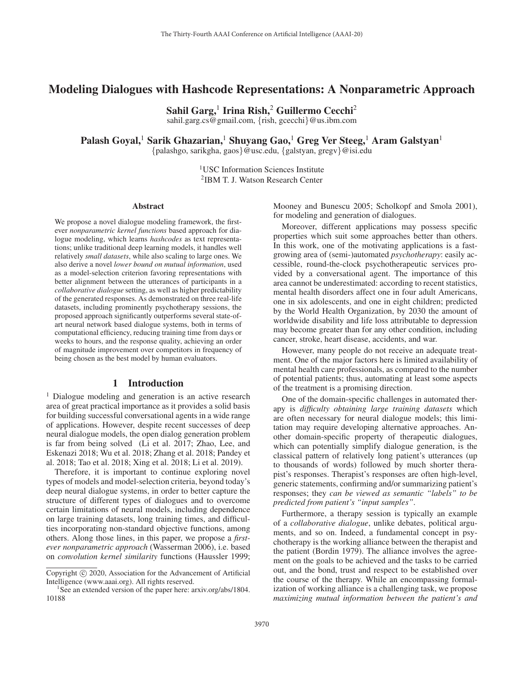# Modeling Dialogues with Hashcode Representations: A Nonparametric Approach

Sahil Garg,<sup>1</sup> Irina Rish,<sup>2</sup> Guillermo Cecchi<sup>2</sup> sahil.garg.cs@gmail.com, {rish, gcecchi}@us.ibm.com

Palash Goyal,<sup>1</sup> Sarik Ghazarian,<sup>1</sup> Shuyang Gao,<sup>1</sup> Greg Ver Steeg,<sup>1</sup> Aram Galstyan<sup>1</sup>

{palashgo, sarikgha, gaos}@usc.edu, {galstyan, gregv}@isi.edu

<sup>1</sup>USC Information Sciences Institute 2IBM T. J. Watson Research Center

#### Abstract

We propose a novel dialogue modeling framework, the firstever *nonparametric kernel functions* based approach for dialogue modeling, which learns *hashcodes* as text representations; unlike traditional deep learning models, it handles well relatively *small datasets*, while also scaling to large ones. We also derive a novel *lower bound on mutual information*, used as a model-selection criterion favoring representations with better alignment between the utterances of participants in a *collaborative dialogue* setting, as well as higher predictability of the generated responses. As demonstrated on three real-life datasets, including prominently psychotherapy sessions, the proposed approach significantly outperforms several state-ofart neural network based dialogue systems, both in terms of computational efficiency, reducing training time from days or weeks to hours, and the response quality, achieving an order of magnitude improvement over competitors in frequency of being chosen as the best model by human evaluators.

## 1 Introduction

<sup>1</sup> Dialogue modeling and generation is an active research area of great practical importance as it provides a solid basis for building successful conversational agents in a wide range of applications. However, despite recent successes of deep neural dialogue models, the open dialog generation problem is far from being solved (Li et al. 2017; Zhao, Lee, and Eskenazi 2018; Wu et al. 2018; Zhang et al. 2018; Pandey et al. 2018; Tao et al. 2018; Xing et al. 2018; Li et al. 2019).

Therefore, it is important to continue exploring novel types of models and model-selection criteria, beyond today's deep neural dialogue systems, in order to better capture the structure of different types of dialogues and to overcome certain limitations of neural models, including dependence on large training datasets, long training times, and difficulties incorporating non-standard objective functions, among others. Along those lines, in this paper, we propose a *firstever nonparametric approach* (Wasserman 2006), i.e. based on *convolution kernel similarity* functions (Haussler 1999;

Mooney and Bunescu 2005; Scholkopf and Smola 2001), for modeling and generation of dialogues.

Moreover, different applications may possess specific properties which suit some approaches better than others. In this work, one of the motivating applications is a fastgrowing area of (semi-)automated *psychotherapy*: easily accessible, round-the-clock psychotherapeutic services provided by a conversational agent. The importance of this area cannot be underestimated: according to recent statistics, mental health disorders affect one in four adult Americans, one in six adolescents, and one in eight children; predicted by the World Health Organization, by 2030 the amount of worldwide disability and life loss attributable to depression may become greater than for any other condition, including cancer, stroke, heart disease, accidents, and war.

However, many people do not receive an adequate treatment. One of the major factors here is limited availability of mental health care professionals, as compared to the number of potential patients; thus, automating at least some aspects of the treatment is a promising direction.

One of the domain-specific challenges in automated therapy is *difficulty obtaining large training datasets* which are often necessary for neural dialogue models; this limitation may require developing alternative approaches. Another domain-specific property of therapeutic dialogues, which can potentially simplify dialogue generation, is the classical pattern of relatively long patient's utterances (up to thousands of words) followed by much shorter therapist's responses. Therapist's responses are often high-level, generic statements, confirming and/or summarizing patient's responses; they *can be viewed as semantic "labels" to be predicted from patient's "input samples"*.

Furthermore, a therapy session is typically an example of a *collaborative dialogue*, unlike debates, political arguments, and so on. Indeed, a fundamental concept in psychotherapy is the working alliance between the therapist and the patient (Bordin 1979). The alliance involves the agreement on the goals to be achieved and the tasks to be carried out, and the bond, trust and respect to be established over the course of the therapy. While an encompassing formalization of working alliance is a challenging task, we propose *maximizing mutual information between the patient's and*

Copyright  $\odot$  2020, Association for the Advancement of Artificial Intelligence (www.aaai.org). All rights reserved.

<sup>&</sup>lt;sup>1</sup>See an extended version of the paper here: arxiv.org/abs/1804. 10188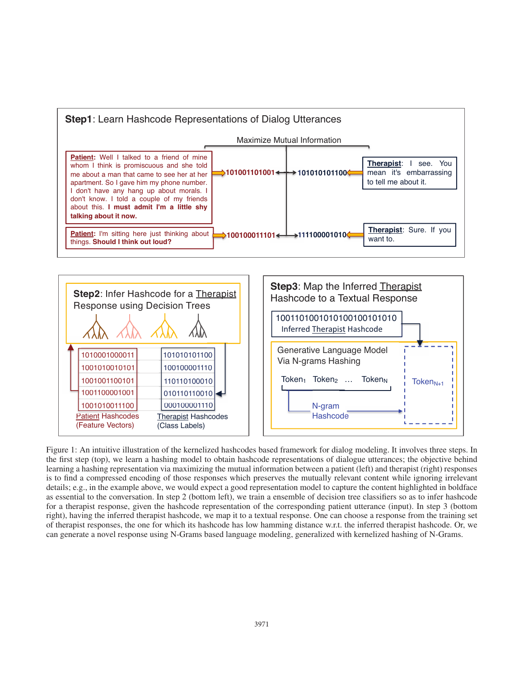



Figure 1: An intuitive illustration of the kernelized hashcodes based framework for dialog modeling. It involves three steps. In the first step (top), we learn a hashing model to obtain hashcode representations of dialogue utterances; the objective behind learning a hashing representation via maximizing the mutual information between a patient (left) and therapist (right) responses is to find a compressed encoding of those responses which preserves the mutually relevant content while ignoring irrelevant details; e.g., in the example above, we would expect a good representation model to capture the content highlighted in boldface as essential to the conversation. In step 2 (bottom left), we train a ensemble of decision tree classifiers so as to infer hashcode for a therapist response, given the hashcode representation of the corresponding patient utterance (input). In step 3 (bottom right), having the inferred therapist hashcode, we map it to a textual response. One can choose a response from the training set of therapist responses, the one for which its hashcode has low hamming distance w.r.t. the inferred therapist hashcode. Or, we can generate a novel response using N-Grams based language modeling, generalized with kernelized hashing of N-Grams.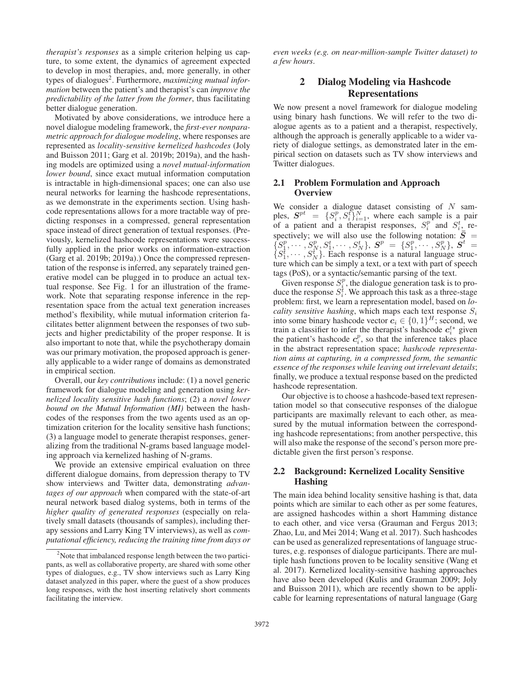*therapist's responses* as a simple criterion helping us capture, to some extent, the dynamics of agreement expected to develop in most therapies, and, more generally, in other types of dialogues<sup>2</sup>. Furthermore, *maximizing mutual information* between the patient's and therapist's can *improve the predictability of the latter from the former*, thus facilitating better dialogue generation.

Motivated by above considerations, we introduce here a novel dialogue modeling framework, the *first-ever nonparametric approach for dialogue modeling*, where responses are represented as *locality-sensitive kernelized hashcodes* (Joly and Buisson 2011; Garg et al. 2019b; 2019a), and the hashing models are optimized using a *novel mutual-information lower bound*, since exact mutual information computation is intractable in high-dimensional spaces; one can also use neural networks for learning the hashcode representations, as we demonstrate in the experiments section. Using hashcode representations allows for a more tractable way of predicting responses in a compressed, general representation space instead of direct generation of textual responses. (Previously, kernelized hashcode representations were successfully applied in the prior works on information-extraction (Garg et al. 2019b; 2019a).) Once the compressed representation of the response is inferred, any separately trained generative model can be plugged in to produce an actual textual response. See Fig. 1 for an illustration of the framework. Note that separating response inference in the representation space from the actual text generation increases method's flexibility, while mutual information criterion facilitates better alignment between the responses of two subjects and higher predictability of the proper response. It is also important to note that, while the psychotherapy domain was our primary motivation, the proposed approach is generally applicable to a wider range of domains as demonstrated in empirical section.

Overall, our *key contributions* include: (1) a novel generic framework for dialogue modeling and generation using *kernelized locality sensitive hash functions*; (2) a *novel lower bound on the Mutual Information (MI)* between the hashcodes of the responses from the two agents used as an optimization criterion for the locality sensitive hash functions; (3) a language model to generate therapist responses, generalizing from the traditional N-grams based language modeling approach via kernelized hashing of N-grams.

We provide an extensive empirical evaluation on three different dialogue domains, from depression therapy to TV show interviews and Twitter data, demonstrating *advantages of our approach* when compared with the state-of-art neural network based dialog systems, both in terms of the *higher quality of generated responses* (especially on relatively small datasets (thousands of samples), including therapy sessions and Larry King TV interviews), as well as *computational efficiency, reducing the training time from days or*

*even weeks (e.g. on near-million-sample Twitter dataset) to a few hours*.

# 2 Dialog Modeling via Hashcode Representations

We now present a novel framework for dialogue modeling using binary hash functions. We will refer to the two dialogue agents as to a patient and a therapist, respectively, although the approach is generally applicable to a wider variety of dialogue settings, as demonstrated later in the empirical section on datasets such as TV show interviews and Twitter dialogues.

## 2.1 Problem Formulation and Approach **Overview**

We consider a dialogue dataset consisting of  $N$  samples,  $S^{pt} = \{S_i^p, S_i^t\}_{i=1}^N$ , where each sample is a pair of a pair of a pair  $S_i^p$  and  $S_i^t$  reof a patient and a therapist responses,  $S_i^p$  and  $S_i^t$ , re $i$ <sup>p</sup> and  $S_i^t$ spectively; we will also use the following notation:  $\bar{S} = \{S_1^p, \dots, S_N^p\}$ ,  $S_1^t, \dots, S_N^t\}$ . Each response is a natural language structure which can be simply a text or a text with part of speech ture which can be simply a text, or a text with part of speech tags (PoS), or a syntactic/semantic parsing of the text.

Given response  $S_i^p$ , the dialogue generation task is to pro-<br>duce the response  $S_i^t$ . We approach this task as a three-stage<br>problem: first, we learn a representation model, based on *lo*problem: first, we learn a representation model, based on *locality sensitive hashing*, which maps each text response  $S_i$ <br>into some hinary hashcode yector  $c_i \in I_0$ ,  $11^H$ , second, we into some binary hashcode vector  $c_i \in \{0, 1\}^H$ ; second, we train a classifier to infer the therapist's hashcode  $c_i^*$  given the patient's hashcode  $c_i^p$ , so that the inference takes place in the abstract representati in the abstract representation space; *hashcode representation aims at capturing, in a compressed form, the semantic essence of the responses while leaving out irrelevant details*; finally, we produce a textual response based on the predicted hashcode representation.

Our objective is to choose a hashcode-based text representation model so that consecutive responses of the dialogue participants are maximally relevant to each other, as measured by the mutual information between the corresponding hashcode representations; from another perspective, this will also make the response of the second's person more predictable given the first person's response.

## 2.2 Background: Kernelized Locality Sensitive Hashing

The main idea behind locality sensitive hashing is that, data points which are similar to each other as per some features, are assigned hashcodes within a short Hamming distance to each other, and vice versa (Grauman and Fergus 2013; Zhao, Lu, and Mei 2014; Wang et al. 2017). Such hashcodes can be used as generalized representations of language structures, e.g. responses of dialogue participants. There are multiple hash functions proven to be locality sensitive (Wang et al. 2017). Kernelized locality-sensitive hashing approaches have also been developed (Kulis and Grauman 2009; Joly and Buisson 2011), which are recently shown to be applicable for learning representations of natural language (Garg

 $2$ Note that imbalanced response length between the two participants, as well as collaborative property, are shared with some other types of dialogues, e.g., TV show interviews such as Larry King dataset analyzed in this paper, where the guest of a show produces long responses, with the host inserting relatively short comments facilitating the interview.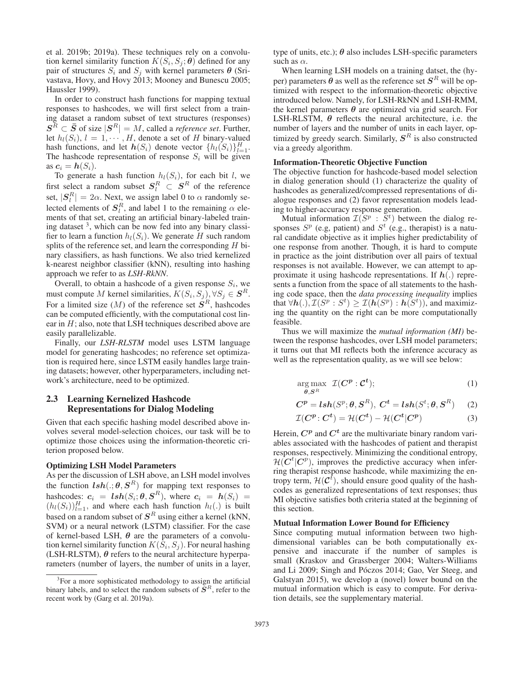et al. 2019b; 2019a). These techniques rely on a convolution kernel similarity function  $K(S_i, S_j; \theta)$  defined for any pair of structures  $S_i$  and  $S_j$  with kernel parameters  $\boldsymbol{\theta}$  (Srivastava, Hovy, and Hovy 2013; Mooney and Bunescu 2005; Haussler 1999).

In order to construct hash functions for mapping textual responses to hashcodes, we will first select from a training dataset a random subset of text structures (responses)  $S^R \subset \overline{S}$  of size  $|S^R| = M$ , called a *reference set*. Further, let  $h_l(S_i)$ ,  $l = 1, \dots, H$ , denote a set of H binary-valued hash functions, and let  $h(S_i)$  denote vector  $\{h_l(S_i)\}_{l=1}^H$ .<br>The hashcode representation of response S, will be given The hashcode representation of response  $S_i$  will be given as  $c_i = h(S_i)$ . as  $c_i = h(S_i)$ .<br>To generate

To generate a hash function  $h_l(S_i)$ , for each bit l, we first select a random subset  $S_l^R \subset S^R$  of the reference set  $|S_l^R| = 2\alpha$ . Next we assign label 0 to a randomly so set,  $|S_l^R| = 2\alpha$ . Next, we assign label 0 to  $\alpha$  randomly se-<br>leated elements of  $S^R$  and label 1 to the remaining  $\alpha$  alge lected elements of  $S_l^R$ , and label 1 to the remaining  $\alpha$  elements of that set creating an artificial binary-labeled trainments of that set, creating an artificial binary-labeled training dataset  $3$ , which can be now fed into any binary classifier to learn a function  $h_l(S_i)$ . We generate H such random splits of the reference set, and learn the corresponding  $H$  binary classifiers, as hash functions. We also tried kernelized k-nearest neighbor classifier (kNN), resulting into hashing approach we refer to as *LSH-RkNN*.

Overall, to obtain a hashcode of a given response  $S_i$ , we must compute M kernel similarities,  $K(S_i, S_j)$ ,  $\forall S_j \in \mathbf{S}^R$ . For a limited size  $(M)$  of the reference set  $S<sup>R</sup>$ , hashcodes can be computed efficiently, with the computational cost linear in  $H$ ; also, note that LSH techniques described above are easily parallelizable.

Finally, our *LSH-RLSTM* model uses LSTM language model for generating hashcodes; no reference set optimization is required here, since LSTM easily handles large training datasets; however, other hyperparameters, including network's architecture, need to be optimized.

## 2.3 Learning Kernelized Hashcode Representations for Dialog Modeling

Given that each specific hashing model described above involves several model-selection choices, our task will be to optimize those choices using the information-theoretic criterion proposed below.

### Optimizing LSH Model Parameters

As per the discussion of LSH above, an LSH model involves the function  $\mathit{lsh}(.\mathit{;}\theta, S^R)$  for mapping text responses to hashcodes:  $c_i = \mathbf{lsh}(S_i; \theta, \mathbf{S}^R)$ , where  $c_i = h(S_i) = (h_i(S_i))^H$ , and where each hash function  $h_i()$  is built  $(h_l(S_i))_{l=1}^H$ , and where each hash function  $h_l(.)$  is built based on a random subset of  $S^R$  using either a kernel (kNN, SVM) or a neural network (LSTM) classifier. For the case of kernel-based LSH,  $\theta$  are the parameters of a convolution kernel similarity function  $K(S_i, S_j)$ . For neural hashing (LSH-RLSTM), *θ* refers to the neural architecture hyperparameters (number of layers, the number of units in a layer, type of units, etc.);  $\theta$  also includes LSH-specific parameters such as  $\alpha$ .

When learning LSH models on a training datset, the (hyper) parameters  $\hat{\theta}$  as well as the reference set  $S<sup>R</sup>$  will be optimized with respect to the information-theoretic objective introduced below. Namely, for LSH-RkNN and LSH-RMM, the kernel parameters  $\theta$  are optimized via grid search. For LSH-RLSTM,  $\theta$  reflects the neural architecture, i.e. the number of layers and the number of units in each layer, optimized by greedy search. Similarly,  $S<sup>R</sup>$  is also constructed via a greedy algorithm.

#### Information-Theoretic Objective Function

The objective function for hashcode-based model selection in dialog generation should (1) characterize the quality of hashcodes as generalized/compressed representations of dialogue responses and (2) favor representation models leading to higher-accuracy response generation.<br>Mutual information  $\mathcal{I}(S^p : S^t)$  between the dialog re-

Mutual information  $\mathcal{I}(S^p : S^t)$  between the dialog responses  $S^p$  (e.g, patient) and  $S^t$  (e.g., therapist) is a natural candidate objective as it implies higher predictability of one response from another. Though, it is hard to compute in practice as the joint distribution over all pairs of textual responses is not available. However, we can attempt to approximate it using hashcode representations. If *<sup>h</sup>*(.) represents a function from the space of all statements to the hashing code space, then the *data processing inequality* implies that  $\forall h(.)$ ,  $\mathcal{I}(S^p : S^t) \geq \mathcal{I}(h(S^p) : h(S^t))$ , and maximiz-<br>ing the quantity on the right can be more computationally ing the quantity on the right can be more computationally feasible.

Thus we will maximize the *mutual information (MI)* between the response hashcodes, over LSH model parameters; it turns out that MI reflects both the inference accuracy as well as the representation quality, as we will see below:

$$
\underset{\boldsymbol{\theta}, \boldsymbol{S}^R}{\arg \max} \ \mathcal{I}(\boldsymbol{C}^{\boldsymbol{p}} : \boldsymbol{C}^{\boldsymbol{t}}); \tag{1}
$$

$$
C^{p} = \mathbf{lsh}(S^{p}; \theta, S^{R}), C^{t} = \mathbf{lsh}(S^{t}; \theta, S^{R}) \tag{2}
$$

$$
\mathcal{I}(C^p; C^t) = \mathcal{H}(C^t) - \mathcal{H}(C^t|C^p)
$$
 (3)

Herein,  $C^p$  and  $C^t$  are the multivariate binary random variables associated with the hashcodes of patient and therapist responses, respectively. Minimizing the conditional entropy,  $\mathcal{H}(C^t|C^p)$ , improves the predictive accuracy when infer-<br>ring therapist response hashcode, while maximizing the enring therapist response hashcode, while maximizing the entropy term,  $\mathcal{H}(\mathcal{C}^t)$ , should ensure good quality of the hash-<br>codes as generalized representations of text responses: thus codes as generalized representations of text responses; thus MI objective satisfies both criteria stated at the beginning of this section.

#### Mutual Information Lower Bound for Efficiency

Since computing mutual information between two highdimensional variables can be both computationally expensive and inaccurate if the number of samples is small (Kraskov and Grassberger 2004; Walters-Williams and Li 2009; Singh and Póczos 2014; Gao, Ver Steeg, and Galstyan 2015), we develop a (novel) lower bound on the mutual information which is easy to compute. For derivation details, see the supplementary material.

<sup>&</sup>lt;sup>3</sup>For a more sophisticated methodology to assign the artificial binary labels, and to select the random subsets of  $S<sup>R</sup>$ , refer to the recent work by (Garg et al. 2019a).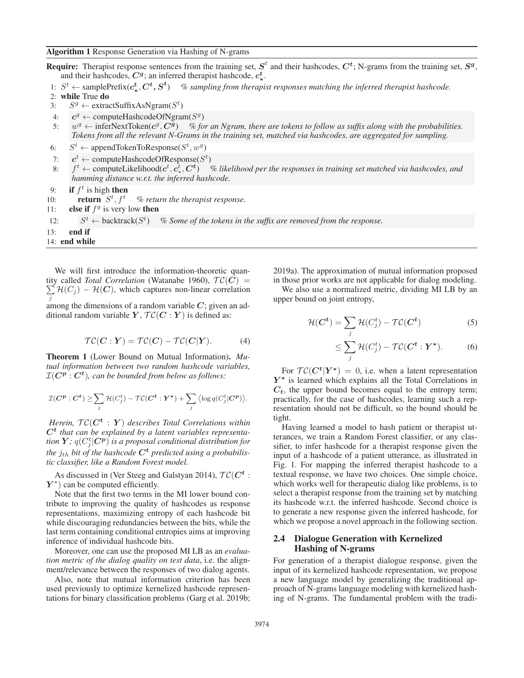Algorithm 1 Response Generation via Hashing of N-grams

Require: Therapist response sentences from the training set,  $S^t$  and their hashcodes,  $C^t$ ; N-grams from the training set,  $S^g$ , and their hashcodes,  $C^g$ ; an inferred therapist hashcode,  $c^t_*$ .

- 1:  $S<sup>t</sup>$  ← samplePrefix( $c<sup>t</sup>, C<sup>t</sup>, S<sup>t</sup>$ ) % sampling from therapist responses matching the inferred therapist hashcode.
- 2: while True do
- 3:  $S^g \leftarrow$  extractSuffixAsNgram( $S^t$ )
- 4:  $c^g \leftarrow$  computeHashcodeOfNgram( $S^g$ )
- 5:  $w^g \leftarrow \text{inferNextToken}(c^g, C^g)$  % for an Ngram, there are tokens to follow as suffix along with the probabilities. *Tokens from all the relevant N-Grams in the training set, matched via hashcodes, are aggregated for sampling.*
- 6:  $S^t$  ← appendTokenToResponse( $S^t$ ,  $w^g$ )
- 7:  $c^t \leftarrow \text{computeHashcodeOfResponse}(S^t)$
- 8:  $f^t$  ← computeLikelihood( $c^t, c^t_*, C^t$ ) % likelihood per the responses in training set matched via hashcodes, and *hamming distance w.r.t. the inferred hashcode.*
- 9: if  $f^t$  is high then

10: **return**  $S^t, f^t$ , f<sup>t</sup> *% return the therapist response.*

11: **else if**  $f^g$  is very low **then** 

12: 
$$
S^t \leftarrow
$$
 backtrack $(S^t)$  % Some of the tokens in the suffix are removed from the response.

- 13: end if
- 14: end while

We will first introduce the information-theoretic quantity called *Total Correlation* (Watanabe 1960),  $TC(C) = \sum \mathcal{H}(C) = \mathcal{H}(C)$  which captures non-linear correlation  $\sum_{j} \mathcal{H}(C_j) - \mathcal{H}(C)$ , which captures non-linear correlation

among the dimensions of a random variable  $C$ ; given an additional random variable  $Y, \mathcal{TC}(\mathbf{C} : Y)$  is defined as:

$$
\mathcal{TC}(\mathbf{C} : \mathbf{Y}) = \mathcal{TC}(\mathbf{C}) - \mathcal{TC}(\mathbf{C}|\mathbf{Y}). \tag{4}
$$

Theorem 1 (Lower Bound on Mutual Information). *Mutual information between two random hashcode variables,*  $\mathcal{I}(\mathbf{C}^{\mathbf{p}}:\mathbf{C}^{\mathbf{t}})$ *, can be bounded from below as follows:* 

$$
\mathcal{I}(\mathbf{C}^{\mathbf{p}}:\mathbf{C}^{\mathbf{t}})\geq \sum_j \mathcal{H}(C_j^t)-\mathcal{TC}(\mathbf{C}^{\mathbf{t}}:\mathbf{Y}^*)+\sum_j \left\langle \log q(C_j^t|\mathbf{C}^{\mathbf{p}}) \right\rangle.
$$

*Herein,*  $TC(C^t : Y)$  *describes Total Correlations within Ct that can be explained by a latent variables representation*  $Y$ ;  $q(C_j^t | C^p)$  *is a proposal conditional distribution for*<br>the *i*, bit of the hashacle  $C^t$  predicted vaire a probabilis the  $j_{th}$  bit of the hashcode  $C<sup>t</sup>$  predicted using a probabilis*tic classifier, like a Random Forest model.*

As discussed in (Ver Steeg and Galstyan 2014),  $TC(C^t)$ : *Y*<sup>\*</sup>) can be computed efficiently.

Note that the first two terms in the MI lower bound contribute to improving the quality of hashcodes as response representations, maximizing entropy of each hashcode bit while discouraging redundancies between the bits, while the last term containing conditional entropies aims at improving inference of individual hashcode bits.

Moreover, one can use the proposed MI LB as an *evaluation metric of the dialog quality on test data*, i.e. the alignment/relevance between the responses of two dialog agents.

Also, note that mutual information criterion has been used previously to optimize kernelized hashcode representations for binary classification problems (Garg et al. 2019b; 2019a). The approximation of mutual information proposed in those prior works are not applicable for dialog modeling.

We also use a normalized metric, dividing MI LB by an upper bound on joint entropy,

$$
\mathcal{H}(C^t) = \sum_j \mathcal{H}(C_j^t) - \mathcal{TC}(C^t)
$$
\n(5)

$$
\leq \sum_{j}^{J} \mathcal{H}(C_{j}^{t}) - \mathcal{TC}(C^{t} : Y^{*}). \tag{6}
$$

For  $TC(C^t|Y^*)=0$ , i.e. when a latent representation *Y <sup>∗</sup>* is learned which explains all the Total Correlations in  $C_t$ , the upper bound becomes equal to the entropy term; practically, for the case of hashcodes, learning such a representation should not be difficult, so the bound should be tight.

Having learned a model to hash patient or therapist utterances, we train a Random Forest classifier, or any classifier, to infer hashcode for a therapist response given the input of a hashcode of a patient utterance, as illustrated in Fig. 1. For mapping the inferred therapist hashcode to a textual response, we have two choices. One simple choice, which works well for therapeutic dialog like problems, is to select a therapist response from the training set by matching its hashcode w.r.t. the inferred hashcode. Second choice is to generate a new response given the inferred hashcode, for which we propose a novel approach in the following section.

## 2.4 Dialogue Generation with Kernelized Hashing of N-grams

For generation of a therapist dialogue response, given the input of its kernelized hashcode representation, we propose a new language model by generalizing the traditional approach of N-grams language modeling with kernelized hashing of N-grams. The fundamental problem with the tradi-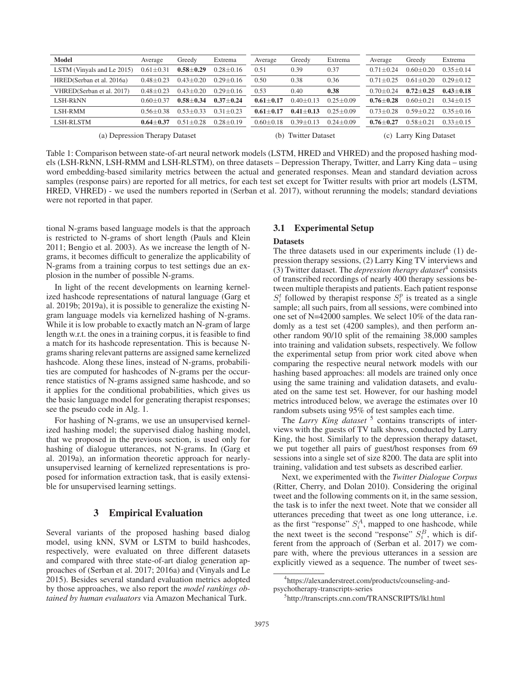| Model                          | Average         | Greedy          | Extrema         | Average                | Greedy        | Extrema         | Average                   | Greedy        | Extrema       |
|--------------------------------|-----------------|-----------------|-----------------|------------------------|---------------|-----------------|---------------------------|---------------|---------------|
| LSTM (Vinyals and Le 2015)     | $0.61 \pm 0.31$ | $0.58 \pm 0.29$ | $0.28 \pm 0.16$ | 0.51                   | 0.39          | 0.37            | $0.71 + 0.24$             | $0.60 + 0.20$ | $0.35 + 0.14$ |
| HRED(Serban et al. 2016a)      | $0.48 + 0.23$   | $0.43 + 0.20$   | $0.29 + 0.16$   | 0.50                   | 0.38          | 0.36            | $0.71 + 0.25$             | $0.61 + 0.20$ | $0.29 + 0.12$ |
| VHRED(Serban et al. 2017)      | $0.48 + 0.23$   | $0.43 + 0.20$   | $0.29 + 0.16$   | 0.53                   | 0.40          | 0.38            | $0.70 + 0.24$             | $0.72 + 0.25$ | $0.43 + 0.18$ |
| LSH-RkNN                       | $0.60 + 0.37$   | $0.58 + 0.34$   | $0.37 + 0.24$   | $0.61 \pm 0.17$        | $0.40 + 0.1$  | $0.25 + 0.09$   | $0.76 + 0.28$             | $0.60 + 0.21$ | $0.34 + 0.15$ |
| LSH-RMM                        | 0.56+0.38       | $0.53 + 0.33$   | $0.31 + 0.23$   | $0.61 + 0.17$          | $0.41 + 0.13$ | $0.25 + 0.09$   | $0.73 + 0.28$             | $0.59 + 0.22$ | $0.35 + 0.16$ |
| <b>LSH-RLSTM</b>               | $0.64 + 0.37$   | $0.51 + 0.28$   | $0.28 \pm 0.19$ | $0.60 + 0.18$          | $0.39 + 0.13$ | $0.24 \pm 0.09$ | $0.76 + 0.27$             | $0.58 + 0.21$ | $0.33 + 0.15$ |
| (a) Depression Therapy Dataset |                 |                 | (b)             | <b>Twitter Dataset</b> |               | (c)             | <b>Larry King Dataset</b> |               |               |

Table 1: Comparison between state-of-art neural network models (LSTM, HRED and VHRED) and the proposed hashing models (LSH-RkNN, LSH-RMM and LSH-RLSTM), on three datasets – Depression Therapy, Twitter, and Larry King data – using word embedding-based similarity metrics between the actual and generated responses. Mean and standard deviation across samples (response pairs) are reported for all metrics, for each test set except for Twitter results with prior art models (LSTM, HRED, VHRED) - we used the numbers reported in (Serban et al. 2017), without rerunning the models; standard deviations were not reported in that paper.

tional N-grams based language models is that the approach is restricted to N-grams of short length (Pauls and Klein 2011; Bengio et al. 2003). As we increase the length of Ngrams, it becomes difficult to generalize the applicability of N-grams from a training corpus to test settings due an explosion in the number of possible N-grams.

In light of the recent developments on learning kernelized hashcode representations of natural language (Garg et al. 2019b; 2019a), it is possible to generalize the existing Ngram language models via kernelized hashing of N-grams. While it is low probable to exactly match an N-gram of large length w.r.t. the ones in a training corpus, it is feasible to find a match for its hashcode representation. This is because Ngrams sharing relevant patterns are assigned same kernelized hashcode. Along these lines, instead of N-grams, probabilities are computed for hashcodes of N-grams per the occurrence statistics of N-grams assigned same hashcode, and so it applies for the conditional probabilities, which gives us the basic language model for generating therapist responses; see the pseudo code in Alg. 1.

For hashing of N-grams, we use an unsupervised kernelized hashing model; the supervised dialog hashing model, that we proposed in the previous section, is used only for hashing of dialogue utterances, not N-grams. In (Garg et al. 2019a), an information theoretic approach for nearlyunsupervised learning of kernelized representations is proposed for information extraction task, that is easily extensible for unsupervised learning settings.

## 3 Empirical Evaluation

Several variants of the proposed hashing based dialog model, using kNN, SVM or LSTM to build hashcodes, respectively, were evaluated on three different datasets and compared with three state-of-art dialog generation approaches of (Serban et al. 2017; 2016a) and (Vinyals and Le 2015). Besides several standard evaluation metrics adopted by those approaches, we also report the *model rankings obtained by human evaluators* via Amazon Mechanical Turk.

## 3.1 Experimental Setup

#### **Datasets**

The three datasets used in our experiments include (1) depression therapy sessions, (2) Larry King TV interviews and (3) Twitter dataset. The *depression therapy dataset*<sup>4</sup> consists of transcribed recordings of nearly 400 therapy sessions between multiple therapists and patients. Each patient response  $S_i^t$  followed by therapist response  $S_i^p$  is treated as a single<br>sample: all such pairs from all sessions were combined into sample; all such pairs, from all sessions, were combined into one set of N=42000 samples. We select 10% of the data randomly as a test set (4200 samples), and then perform another random 90/10 split of the remaining 38,000 samples into training and validation subsets, respectively. We follow the experimental setup from prior work cited above when comparing the respective neural network models with our hashing based approaches: all models are trained only once using the same training and validation datasets, and evaluated on the same test set. However, for our hashing model metrics introduced below, we average the estimates over 10 random subsets using 95% of test samples each time.

The *Larry King dataset*<sup>5</sup> contains transcripts of interviews with the guests of TV talk shows, conducted by Larry King, the host. Similarly to the depression therapy dataset, we put together all pairs of guest/host responses from 69 sessions into a single set of size 8200. The data are split into training, validation and test subsets as described earlier.

Next, we experimented with the *Twitter Dialogue Corpus* (Ritter, Cherry, and Dolan 2010). Considering the original tweet and the following comments on it, in the same session, the task is to infer the next tweet. Note that we consider all utterances preceding that tweet as one long utterance, i.e. as the first "response"  $S_1^A$ , mapped to one hashcode, while<br>the next tweet is the second "response"  $S_A^B$  which is difthe next tweet is the second "response"  $S_i^B$ , which is different from the approach of (Serban et al. 2017) we comferent from the approach of (Serban et al. 2017) we compare with, where the previous utterances in a session are explicitly viewed as a sequence. The number of tweet ses-

<sup>4</sup> https://alexanderstreet.com/products/counseling-andpsychotherapy-transcripts-series

<sup>5</sup> http://transcripts.cnn.com/TRANSCRIPTS/lkl.html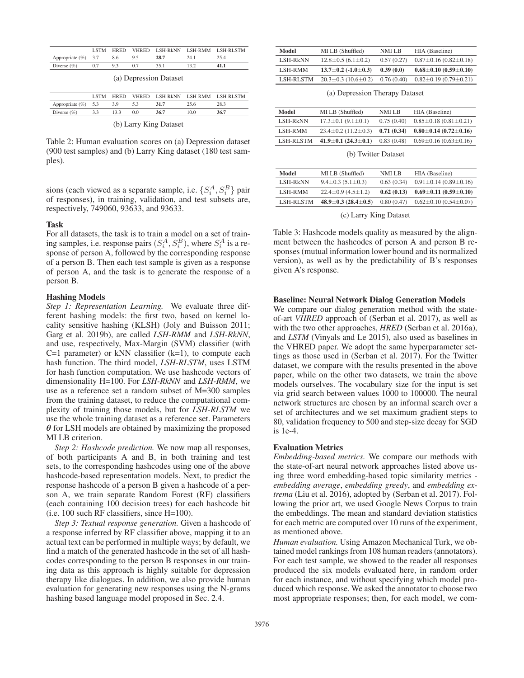|                        | <b>LSTM</b> | <b>HRED</b> | <b>VHRED</b> |      |      | LSH-RkNN LSH-RMM LSH-RLSTM |
|------------------------|-------------|-------------|--------------|------|------|----------------------------|
| Appropriate $(\%)$ 3.7 |             | 8.6         | 9.5          | 28.7 | 24.1 | 25 4                       |
| Diverse $(\% )$        | 0.7         | $Q_3$       |              |      |      | 41.1                       |

|  | (a) Depression Dataset |
|--|------------------------|
|  |                        |
|  |                        |

|                        | <b>LSTM</b> |      |     |      |      | <b>HRED VHRED LSH-RKNN LSH-RMM LSH-RLSTM</b> |
|------------------------|-------------|------|-----|------|------|----------------------------------------------|
| Appropriate $(\%)$ 5.3 |             | 3.9  | 5.3 | 31.7 | 25.6 | 28.3                                         |
| Diverse $(\%)$         | 3.3         | 13.3 | 0.0 | 36.7 | 10.0 | 36.7                                         |
| (b) Larry King Dataset |             |      |     |      |      |                                              |

Table 2: Human evaluation scores on (a) Depression dataset (900 test samples) and (b) Larry King dataset (180 test samples).

sions (each viewed as a separate sample, i.e.  $\{S_i^A, S_i^B\}$  pair<br>of responses) in training, validation, and test subsets are of responses), in training, validation, and test subsets are, respectively, 749060, 93633, and 93633.

#### Task

For all datasets, the task is to train a model on a set of training samples, i.e. response pairs  $(S_i^A, S_i^B)$ , where  $S_i^A$  is a response of person A followed by the corresponding response sponse of person A, followed by the corresponding response of a person B. Then each test sample is given as a response of person A, and the task is to generate the response of a person B.

#### Hashing Models

*Step 1: Representation Learning.* We evaluate three different hashing models: the first two, based on kernel locality sensitive hashing (KLSH) (Joly and Buisson 2011; Garg et al. 2019b), are called *LSH-RMM* and *LSH-RkNN*, and use, respectively, Max-Margin (SVM) classifier (with C=1 parameter) or  $kNN$  classifier  $(k=1)$ , to compute each hash function. The third model, *LSH-RLSTM*, uses LSTM for hash function computation. We use hashcode vectors of dimensionality H=100. For *LSH-RkNN* and *LSH-RMM*, we use as a reference set a random subset of M=300 samples from the training dataset, to reduce the computational complexity of training those models, but for *LSH-RLSTM* we use the whole training dataset as a reference set. Parameters *θ* for LSH models are obtained by maximizing the proposed MI LB criterion.

*Step 2: Hashcode prediction.* We now map all responses, of both participants A and B, in both training and test sets, to the corresponding hashcodes using one of the above hashcode-based representation models. Next, to predict the response hashcode of a person B given a hashcode of a person A, we train separate Random Forest (RF) classifiers (each containing 100 decision trees) for each hashcode bit (i.e. 100 such RF classifiers, since H=100).

*Step 3: Textual response generation.* Given a hashcode of a response inferred by RF classifier above, mapping it to an actual text can be performed in multiple ways; by default, we find a match of the generated hashcode in the set of all hashcodes corresponding to the person B responses in our training data as this approach is highly suitable for depression therapy like dialogues. In addition, we also provide human evaluation for generating new responses using the N-grams hashing based language model proposed in Sec. 2.4.

| Model           | MI LB (Shuffled)                | NMI LB     | HIA (Baseline)                    |
|-----------------|---------------------------------|------------|-----------------------------------|
| <b>LSH-RkNN</b> | $12.8 \pm 0.5$ (6.1 $\pm$ 0.2)  | 0.57(0.27) | $0.87 \pm 0.16$ (0.82 $\pm$ 0.18) |
| LSH-RMM         | $13.7 \pm 0.2$ (-1.0 $\pm$ 0.3) | 0.39(0.0)  | $0.68 \pm 0.10$ (0.59 $\pm$ 0.10) |
| LSH-RLSTM       | $20.3 \pm 0.3$ (10.6 $\pm$ 0.2) | 0.76(0.40) | $0.82 \pm 0.19$ (0.79 $\pm$ 0.21) |

(a) Depression Therapy Dataset

| Model            | MI LB (Shuffled)                | NMI LB     | HIA (Baseline)                    |
|------------------|---------------------------------|------------|-----------------------------------|
| <b>LSH-RkNN</b>  | $17.3 \pm 0.1 (9.1 \pm 0.1)$    | 0.75(0.40) | $0.85 \pm 0.18$ (0.81 $\pm$ 0.21) |
| <b>LSH-RMM</b>   | $23.4 \pm 0.2$ (11.2 $\pm$ 0.3) | 0.71(0.34) | $0.80 \pm 0.14$ (0.72 $\pm$ 0.16) |
| <b>LSH-RLSTM</b> | $41.9 \pm 0.1$ (24.3 $\pm$ 0.1) | 0.83(0.48) | $0.69 \pm 0.16$ (0.63 $\pm$ 0.16) |

(b) Twitter Dataset

| Model            | MI LB (Shuffled)                | NMI LB     | HIA (Baseline)                    |
|------------------|---------------------------------|------------|-----------------------------------|
| LSH-RkNN         | $9.4 \pm 0.3$ (5.1 $\pm$ 0.3)   | 0.63(0.34) | $0.91 \pm 0.14$ (0.89 $\pm$ 0.16) |
| LSH-RMM          | $22.4 \pm 0.9$ (4.5 $\pm$ 1.2)  | 0.62(0.13) | $0.69 \pm 0.11$ (0.59 $\pm$ 0.10) |
| <b>LSH-RLSTM</b> | $48.9 \pm 0.3$ (28.4 $\pm$ 0.5) | 0.80(0.47) | $0.62 \pm 0.10$ (0.54 $\pm$ 0.07) |
|                  |                                 |            |                                   |

(c) Larry King Dataset

Table 3: Hashcode models quality as measured by the alignment between the hashcodes of person A and person B responses (mutual information lower bound and its normalized version), as well as by the predictability of B's responses given A's response.

#### Baseline: Neural Network Dialog Generation Models

We compare our dialog generation method with the stateof-art *VHRED* approach of (Serban et al. 2017), as well as with the two other approaches, *HRED* (Serban et al. 2016a), and *LSTM* (Vinyals and Le 2015), also used as baselines in the VHRED paper. We adopt the same hyperparameter settings as those used in (Serban et al. 2017). For the Twitter dataset, we compare with the results presented in the above paper, while on the other two datasets, we train the above models ourselves. The vocabulary size for the input is set via grid search between values 1000 to 100000. The neural network structures are chosen by an informal search over a set of architectures and we set maximum gradient steps to 80, validation frequency to 500 and step-size decay for SGD is 1e-4.

#### Evaluation Metrics

*Embedding-based metrics.* We compare our methods with the state-of-art neural network approaches listed above using three word embedding-based topic similarity metrics *embedding average*, *embedding greedy*, and *embedding extrema* (Liu et al. 2016), adopted by (Serban et al. 2017). Following the prior art, we used Google News Corpus to train the embeddings. The mean and standard deviation statistics for each metric are computed over 10 runs of the experiment, as mentioned above.

*Human evaluation.* Using Amazon Mechanical Turk, we obtained model rankings from 108 human readers (annotators). For each test sample, we showed to the reader all responses produced the six models evaluated here, in random order for each instance, and without specifying which model produced which response. We asked the annotator to choose two most appropriate responses; then, for each model, we com-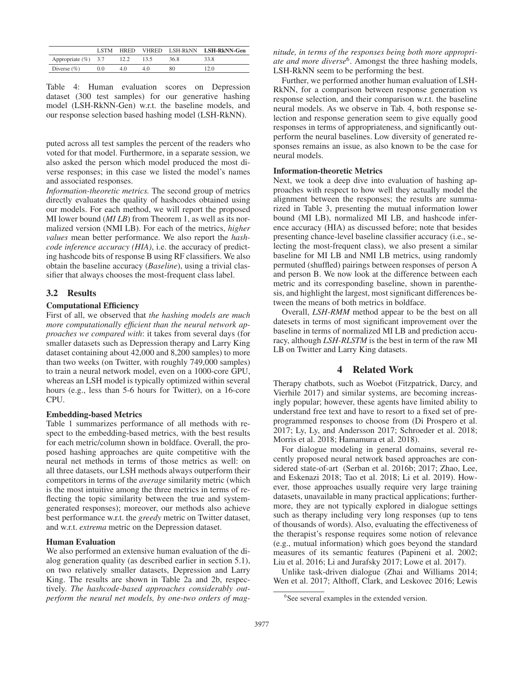|                        | <b>LSTM</b> | <b>HRED</b> | <b>VHRED</b> |      | LSH-RkNN LSH-RkNN-Gen |
|------------------------|-------------|-------------|--------------|------|-----------------------|
| Appropriate $(\%)$ 3.7 |             |             |              | 36.8 | 33.8                  |
| Diverse $(\% )$        | 0.0         | 4.0         | 40           | 80   | 12.0                  |

Table 4: Human evaluation scores on Depression dataset (300 test samples) for our generative hashing model (LSH-RkNN-Gen) w.r.t. the baseline models, and our response selection based hashing model (LSH-RkNN).

puted across all test samples the percent of the readers who voted for that model. Furthermore, in a separate session, we also asked the person which model produced the most diverse responses; in this case we listed the model's names and associated responses.

*Information-theoretic metrics.* The second group of metrics directly evaluates the quality of hashcodes obtained using our models. For each method, we will report the proposed MI lower bound (*MI LB*) from Theorem 1, as well as its normalized version (NMI LB). For each of the metrics, *higher values* mean better performance. We also report the *hashcode inference accuracy (HIA)*, i.e. the accuracy of predicting hashcode bits of response B using RF classifiers. We also obtain the baseline accuracy (*Baseline*), using a trivial classifier that always chooses the most-frequent class label.

#### 3.2 Results

### Computational Efficiency

First of all, we observed that *the hashing models are much more computationally efficient than the neural network approaches we compared with*: it takes from several days (for smaller datasets such as Depression therapy and Larry King dataset containing about 42,000 and 8,200 samples) to more than two weeks (on Twitter, with roughly 749,000 samples) to train a neural network model, even on a 1000-core GPU, whereas an LSH model is typically optimized within several hours (e.g., less than 5-6 hours for Twitter), on a 16-core CPU.

#### Embedding-based Metrics

Table 1 summarizes performance of all methods with respect to the embedding-based metrics, with the best results for each metric/column shown in boldface. Overall, the proposed hashing approaches are quite competitive with the neural net methods in terms of those metrics as well: on all three datasets, our LSH methods always outperform their competitors in terms of the *average* similarity metric (which is the most intuitive among the three metrics in terms of reflecting the topic similarity between the true and systemgenerated responses); moreover, our methods also achieve best performance w.r.t. the *greedy* metric on Twitter dataset, and w.r.t. *extrema* metric on the Depression dataset.

#### Human Evaluation

We also performed an extensive human evaluation of the dialog generation quality (as described earlier in section 5.1), on two relatively smaller datasets, Depression and Larry King. The results are shown in Table 2a and 2b, respectively. *The hashcode-based approaches considerably outperform the neural net models, by one-two orders of mag-* *nitude, in terms of the responses being both more appropriate and more diverse*6. Amongst the three hashing models, LSH-RkNN seem to be performing the best.

Further, we performed another human evaluation of LSH-RkNN, for a comparison between response generation vs response selection, and their comparison w.r.t. the baseline neural models. As we observe in Tab. 4, both response selection and response generation seem to give equally good responses in terms of appropriateness, and significantly outperform the neural baselines. Low diversity of generated responses remains an issue, as also known to be the case for neural models.

#### Information-theoretic Metrics

Next, we took a deep dive into evaluation of hashing approaches with respect to how well they actually model the alignment between the responses; the results are summarized in Table 3, presenting the mutual information lower bound (MI LB), normalized MI LB, and hashcode inference accuracy (HIA) as discussed before; note that besides presenting chance-level baseline classifier accuracy (i.e., selecting the most-frequent class), we also present a similar baseline for MI LB and NMI LB metrics, using randomly permuted (shuffled) pairings between responses of person A and person B. We now look at the difference between each metric and its corresponding baseline, shown in parenthesis, and highlight the largest, most significant differences between the means of both metrics in boldface.

Overall, *LSH-RMM* method appear to be the best on all datesets in terms of most significant improvement over the baseline in terms of normalized MI LB and prediction accuracy, although *LSH-RLSTM* is the best in term of the raw MI LB on Twitter and Larry King datasets.

# 4 Related Work

Therapy chatbots, such as Woebot (Fitzpatrick, Darcy, and Vierhile 2017) and similar systems, are becoming increasingly popular; however, these agents have limited ability to understand free text and have to resort to a fixed set of preprogrammed responses to choose from (Di Prospero et al. 2017; Ly, Ly, and Andersson 2017; Schroeder et al. 2018; Morris et al. 2018; Hamamura et al. 2018).

For dialogue modeling in general domains, several recently proposed neural network based approaches are considered state-of-art (Serban et al. 2016b; 2017; Zhao, Lee, and Eskenazi 2018; Tao et al. 2018; Li et al. 2019). However, those approaches usually require very large training datasets, unavailable in many practical applications; furthermore, they are not typically explored in dialogue settings such as therapy including very long responses (up to tens of thousands of words). Also, evaluating the effectiveness of the therapist's response requires some notion of relevance (e.g., mutual information) which goes beyond the standard measures of its semantic features (Papineni et al. 2002; Liu et al. 2016; Li and Jurafsky 2017; Lowe et al. 2017).

Unlike task-driven dialogue (Zhai and Williams 2014; Wen et al. 2017; Althoff, Clark, and Leskovec 2016; Lewis

<sup>6</sup> See several examples in the extended version.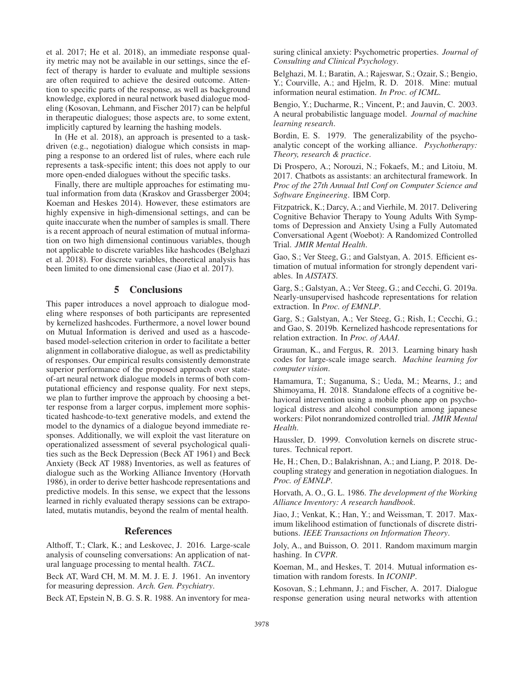et al. 2017; He et al. 2018), an immediate response quality metric may not be available in our settings, since the effect of therapy is harder to evaluate and multiple sessions are often required to achieve the desired outcome. Attention to specific parts of the response, as well as background knowledge, explored in neural network based dialogue modeling (Kosovan, Lehmann, and Fischer 2017) can be helpful in therapeutic dialogues; those aspects are, to some extent, implicitly captured by learning the hashing models.

In (He et al. 2018), an approach is presented to a taskdriven (e.g., negotiation) dialogue which consists in mapping a response to an ordered list of rules, where each rule represents a task-specific intent; this does not apply to our more open-ended dialogues without the specific tasks.

Finally, there are multiple approaches for estimating mutual information from data (Kraskov and Grassberger 2004; Koeman and Heskes 2014). However, these estimators are highly expensive in high-dimensional settings, and can be quite inaccurate when the number of samples is small. There is a recent approach of neural estimation of mutual information on two high dimensional continuous variables, though not applicable to discrete variables like hashcodes (Belghazi et al. 2018). For discrete variables, theoretical analysis has been limited to one dimensional case (Jiao et al. 2017).

### 5 Conclusions

This paper introduces a novel approach to dialogue modeling where responses of both participants are represented by kernelized hashcodes. Furthermore, a novel lower bound on Mutual Information is derived and used as a hascodebased model-selection criterion in order to facilitate a better alignment in collaborative dialogue, as well as predictability of responses. Our empirical results consistently demonstrate superior performance of the proposed approach over stateof-art neural network dialogue models in terms of both computational efficiency and response quality. For next steps, we plan to further improve the approach by choosing a better response from a larger corpus, implement more sophisticated hashcode-to-text generative models, and extend the model to the dynamics of a dialogue beyond immediate responses. Additionally, we will exploit the vast literature on operationalized assessment of several psychological qualities such as the Beck Depression (Beck AT 1961) and Beck Anxiety (Beck AT 1988) Inventories, as well as features of dialogue such as the Working Alliance Inventory (Horvath 1986), in order to derive better hashcode representations and predictive models. In this sense, we expect that the lessons learned in richly evaluated therapy sessions can be extrapolated, mutatis mutandis, beyond the realm of mental health.

# References

Althoff, T.; Clark, K.; and Leskovec, J. 2016. Large-scale analysis of counseling conversations: An application of natural language processing to mental health. *TACL*.

Beck AT, Ward CH, M. M. M. J. E. J. 1961. An inventory for measuring depression. *Arch. Gen. Psychiatry*.

Beck AT, Epstein N, B. G. S. R. 1988. An inventory for mea-

suring clinical anxiety: Psychometric properties. *Journal of Consulting and Clinical Psychology*.

Belghazi, M. I.; Baratin, A.; Rajeswar, S.; Ozair, S.; Bengio, Y.; Courville, A.; and Hjelm, R. D. 2018. Mine: mutual information neural estimation. *In Proc. of ICML*.

Bengio, Y.; Ducharme, R.; Vincent, P.; and Jauvin, C. 2003. A neural probabilistic language model. *Journal of machine learning research*.

Bordin, E. S. 1979. The generalizability of the psychoanalytic concept of the working alliance. *Psychotherapy: Theory, research & practice*.

Di Prospero, A.; Norouzi, N.; Fokaefs, M.; and Litoiu, M. 2017. Chatbots as assistants: an architectural framework. In *Proc of the 27th Annual Intl Conf on Computer Science and Software Engineering*. IBM Corp.

Fitzpatrick, K.; Darcy, A.; and Vierhile, M. 2017. Delivering Cognitive Behavior Therapy to Young Adults With Symptoms of Depression and Anxiety Using a Fully Automated Conversational Agent (Woebot): A Randomized Controlled Trial. *JMIR Mental Health*.

Gao, S.; Ver Steeg, G.; and Galstyan, A. 2015. Efficient estimation of mutual information for strongly dependent variables. In *AISTATS*.

Garg, S.; Galstyan, A.; Ver Steeg, G.; and Cecchi, G. 2019a. Nearly-unsupervised hashcode representations for relation extraction. In *Proc. of EMNLP*.

Garg, S.; Galstyan, A.; Ver Steeg, G.; Rish, I.; Cecchi, G.; and Gao, S. 2019b. Kernelized hashcode representations for relation extraction. In *Proc. of AAAI*.

Grauman, K., and Fergus, R. 2013. Learning binary hash codes for large-scale image search. *Machine learning for computer vision*.

Hamamura, T.; Suganuma, S.; Ueda, M.; Mearns, J.; and Shimoyama, H. 2018. Standalone effects of a cognitive behavioral intervention using a mobile phone app on psychological distress and alcohol consumption among japanese workers: Pilot nonrandomized controlled trial. *JMIR Mental Health*.

Haussler, D. 1999. Convolution kernels on discrete structures. Technical report.

He, H.; Chen, D.; Balakrishnan, A.; and Liang, P. 2018. Decoupling strategy and generation in negotiation dialogues. In *Proc. of EMNLP*.

Horvath, A. O., G. L. 1986. *The development of the Working Alliance Inventory: A research handbook*.

Jiao, J.; Venkat, K.; Han, Y.; and Weissman, T. 2017. Maximum likelihood estimation of functionals of discrete distributions. *IEEE Transactions on Information Theory*.

Joly, A., and Buisson, O. 2011. Random maximum margin hashing. In *CVPR*.

Koeman, M., and Heskes, T. 2014. Mutual information estimation with random forests. In *ICONIP*.

Kosovan, S.; Lehmann, J.; and Fischer, A. 2017. Dialogue response generation using neural networks with attention